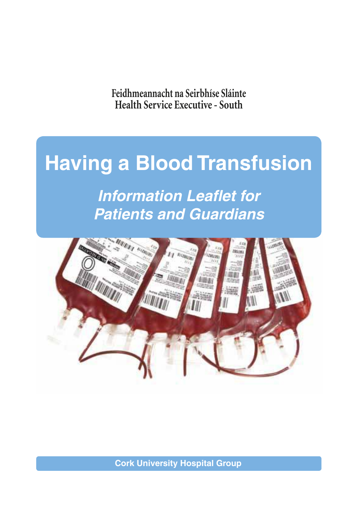**Health Service Executive - South Feidhmeannacht na Seirbhíse Sláinte**

# **Having a Blood Transfusion**

**Information Leaflet for Patients and Guardians**



**Cork University Hospital Group**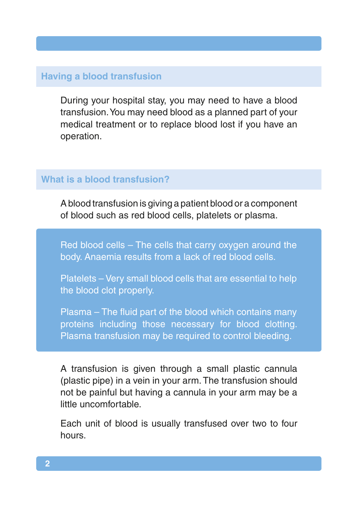## **Having a blood transfusion**

During your hospital stay, you may need to have a blood transfusion. You may need blood as a planned part of your medical treatment or to replace blood lost if you have an operation.

## **What is a blood transfusion?**

A blood transfusion is giving a patient blood or a component of blood such as red blood cells, platelets or plasma.

Red blood cells – The cells that carry oxygen around the body. Anaemia results from a lack of red blood cells.

Platelets – Very small blood cells that are essential to help the blood clot properly.

Plasma – The fluid part of the blood which contains many proteins including those necessary for blood clotting. Plasma transfusion may be required to control bleeding.

A transfusion is given through a small plastic cannula (plastic pipe) in a vein in your arm. The transfusion should not be painful but having a cannula in your arm may be a little uncomfortable.

Each unit of blood is usually transfused over two to four hours.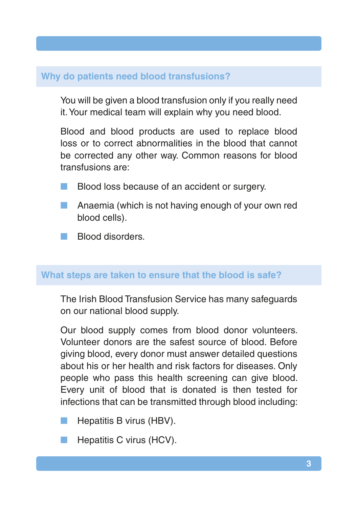## **Why do patients need blood transfusions?**

You will be given a blood transfusion only if you really need it. Your medical team will explain why you need blood.

Blood and blood products are used to replace blood loss or to correct abnormalities in the blood that cannot be corrected any other way. Common reasons for blood transfusions are:

- Blood loss because of an accident or surgery.
- Anaemia (which is not having enough of your own red blood cells).
- n Blood disorders.

## **What steps are taken to ensure that the blood is safe?**

The Irish Blood Transfusion Service has many safeguards on our national blood supply.

Our blood supply comes from blood donor volunteers. Volunteer donors are the safest source of blood. Before giving blood, every donor must answer detailed questions about his or her health and risk factors for diseases. Only people who pass this health screening can give blood. Every unit of blood that is donated is then tested for infections that can be transmitted through blood including:

- Hepatitis B virus (HBV).
- Hepatitis C virus (HCV).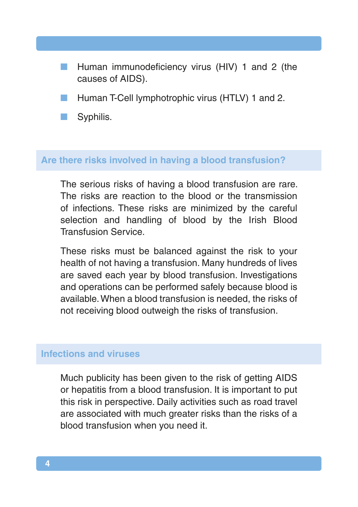- Human immunodeficiency virus (HIV) 1 and 2 (the causes of AIDS).
- Human T-Cell lymphotrophic virus (HTLV) 1 and 2.
- Syphilis.

#### **Are there risks involved in having a blood transfusion?**

The serious risks of having a blood transfusion are rare. The risks are reaction to the blood or the transmission of infections. These risks are minimized by the careful selection and handling of blood by the Irish Blood Transfusion Service.

These risks must be balanced against the risk to your health of not having a transfusion. Many hundreds of lives are saved each year by blood transfusion. Investigations and operations can be performed safely because blood is available. When a blood transfusion is needed, the risks of not receiving blood outweigh the risks of transfusion.

#### **Infections and viruses**

Much publicity has been given to the risk of getting AIDS or hepatitis from a blood transfusion. It is important to put this risk in perspective. Daily activities such as road travel are associated with much greater risks than the risks of a blood transfusion when you need it.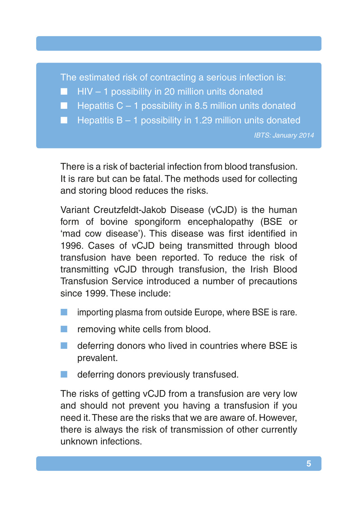The estimated risk of contracting a serious infection is:

 $\blacksquare$  HIV – 1 possibility in 20 million units donated

Hepatitis  $C - 1$  possibility in 8.5 million units donated

**N** Hepatitis B – 1 possibility in 1.29 million units donated

IBTS: January 2014

There is a risk of bacterial infection from blood transfusion. It is rare but can be fatal. The methods used for collecting and storing blood reduces the risks.

Variant Creutzfeldt-Jakob Disease (vCJD) is the human form of bovine spongiform encephalopathy (BSE or 'mad cow disease'). This disease was first identified in 1996. Cases of vCJD being transmitted through blood transfusion have been reported. To reduce the risk of transmitting vCJD through transfusion, the Irish Blood Transfusion Service introduced a number of precautions since 1999. These include:

- importing plasma from outside Europe, where BSE is rare.
- removing white cells from blood.
- $\blacksquare$  deferring donors who lived in countries where BSE is prevalent.
- deferring donors previously transfused.

The risks of getting vCJD from a transfusion are very low and should not prevent you having a transfusion if you need it. These are the risks that we are aware of. However, there is always the risk of transmission of other currently unknown infections.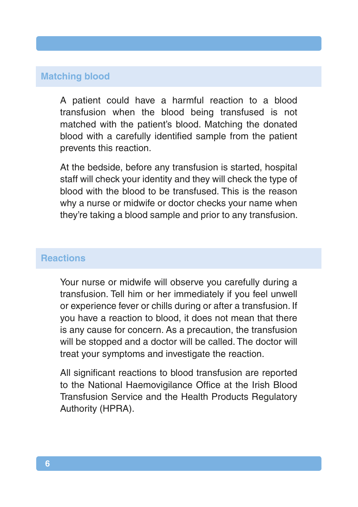## **Matching blood**

A patient could have a harmful reaction to a blood transfusion when the blood being transfused is not matched with the patient's blood. Matching the donated blood with a carefully identified sample from the patient prevents this reaction.

At the bedside, before any transfusion is started, hospital staff will check your identity and they will check the type of blood with the blood to be transfused. This is the reason why a nurse or midwife or doctor checks your name when they're taking a blood sample and prior to any transfusion.

#### **Reactions**

Your nurse or midwife will observe you carefully during a transfusion. Tell him or her immediately if you feel unwell or experience fever or chills during or after a transfusion. If you have a reaction to blood, it does not mean that there is any cause for concern. As a precaution, the transfusion will be stopped and a doctor will be called. The doctor will treat your symptoms and investigate the reaction.

All significant reactions to blood transfusion are reported to the National Haemovigilance Office at the Irish Blood Transfusion Service and the Health Products Regulatory Authority (HPRA).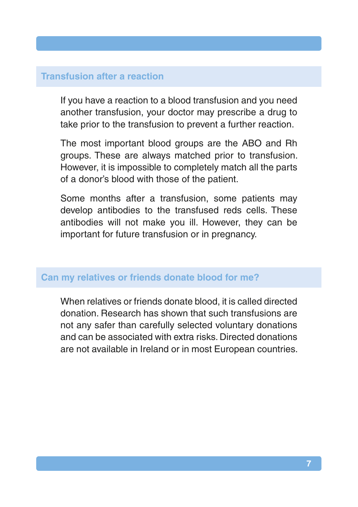#### **Transfusion after a reaction**

If you have a reaction to a blood transfusion and you need another transfusion, your doctor may prescribe a drug to take prior to the transfusion to prevent a further reaction.

The most important blood groups are the ABO and Rh groups. These are always matched prior to transfusion. However, it is impossible to completely match all the parts of a donor's blood with those of the patient.

Some months after a transfusion, some patients may develop antibodies to the transfused reds cells. These antibodies will not make you ill. However, they can be important for future transfusion or in pregnancy.

#### **Can my relatives or friends donate blood for me?**

When relatives or friends donate blood, it is called directed donation. Research has shown that such transfusions are not any safer than carefully selected voluntary donations and can be associated with extra risks. Directed donations are not available in Ireland or in most European countries.